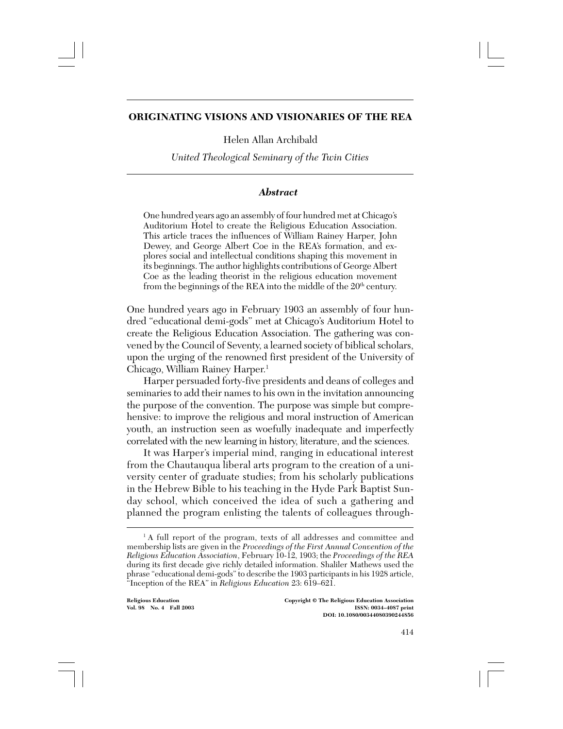Helen Allan Archibald

*United Theological Seminary of the Twin Cities*

# *Abstract*

One hundred years ago an assembly of four hundred met at Chicago's Auditorium Hotel to create the Religious Education Association. This article traces the influences of William Rainey Harper, John Dewey, and George Albert Coe in the REA's formation, and explores social and intellectual conditions shaping this movement in its beginnings. The author highlights contributions of George Albert Coe as the leading theorist in the religious education movement from the beginnings of the REA into the middle of the  $20<sup>th</sup>$  century.

One hundred years ago in February 1903 an assembly of four hundred "educational demi-gods" met at Chicago's Auditorium Hotel to create the Religious Education Association. The gathering was convened by the Council of Seventy, a learned society of biblical scholars, upon the urging of the renowned first president of the University of Chicago, William Rainey Harper.<sup>1</sup>

Harper persuaded forty-five presidents and deans of colleges and seminaries to add their names to his own in the invitation announcing the purpose of the convention. The purpose was simple but comprehensive: to improve the religious and moral instruction of American youth, an instruction seen as woefully inadequate and imperfectly correlated with the new learning in history, literature, and the sciences.

It was Harper's imperial mind, ranging in educational interest from the Chautauqua liberal arts program to the creation of a university center of graduate studies; from his scholarly publications in the Hebrew Bible to his teaching in the Hyde Park Baptist Sunday school, which conceived the idea of such a gathering and planned the program enlisting the talents of colleagues through-

Vol. 98 No. 4 Fall 2003

**Religious Education Copyright © The Religious Education Association DOI: 10.1080/00344080390244856**

<sup>&</sup>lt;sup>1</sup>A full report of the program, texts of all addresses and committee and membership lists are given in the *Proceedings of the First Annual Convention of the Religious Education Association*, February 10-12, 1903; the *Proceedings of the REA* during its first decade give richly detailed information. Shaliler Mathews used the phrase "educational demi-gods" to describe the 1903 participants in his 1928 article, "Inception of the REA" in *Religious Education* 23: 619–621.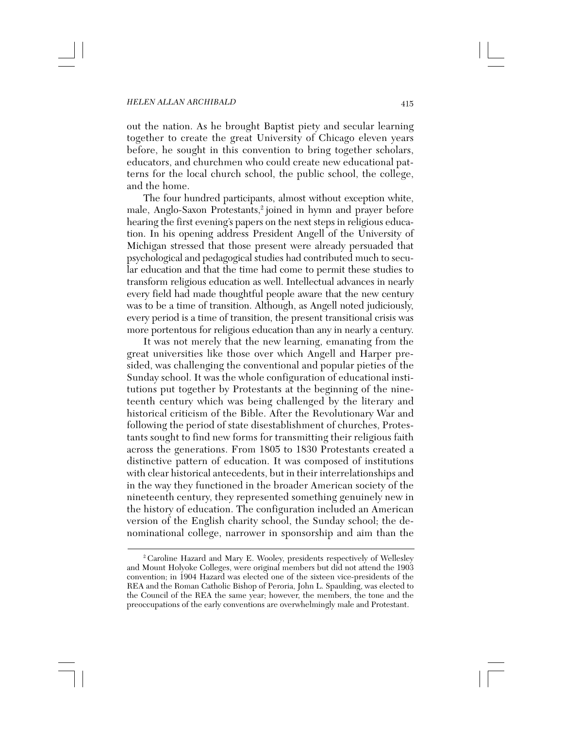out the nation. As he brought Baptist piety and secular learning together to create the great University of Chicago eleven years before, he sought in this convention to bring together scholars, educators, and churchmen who could create new educational patterns for the local church school, the public school, the college, and the home.

The four hundred participants, almost without exception white, male, Anglo-Saxon Protestants,<sup>2</sup> joined in hymn and prayer before hearing the first evening's papers on the next steps in religious education. In his opening address President Angell of the University of Michigan stressed that those present were already persuaded that psychological and pedagogical studies had contributed much to secular education and that the time had come to permit these studies to transform religious education as well. Intellectual advances in nearly every field had made thoughtful people aware that the new century was to be a time of transition. Although, as Angell noted judiciously, every period is a time of transition, the present transitional crisis was more portentous for religious education than any in nearly a century.

It was not merely that the new learning, emanating from the great universities like those over which Angell and Harper presided, was challenging the conventional and popular pieties of the Sunday school. It was the whole configuration of educational institutions put together by Protestants at the beginning of the nineteenth century which was being challenged by the literary and historical criticism of the Bible. After the Revolutionary War and following the period of state disestablishment of churches, Protestants sought to find new forms for transmitting their religious faith across the generations. From 1805 to 1830 Protestants created a distinctive pattern of education. It was composed of institutions with clear historical antecedents, but in their interrelationships and in the way they functioned in the broader American society of the nineteenth century, they represented something genuinely new in the history of education. The configuration included an American version of the English charity school, the Sunday school; the denominational college, narrower in sponsorship and aim than the

<sup>2</sup> Caroline Hazard and Mary E. Wooley, presidents respectively of Wellesley and Mount Holyoke Colleges, were original members but did not attend the 1903 convention; in 1904 Hazard was elected one of the sixteen vice-presidents of the REA and the Roman Catholic Bishop of Peroria, John L. Spaulding, was elected to the Council of the REA the same year; however, the members, the tone and the preoccupations of the early conventions are overwhelmingly male and Protestant.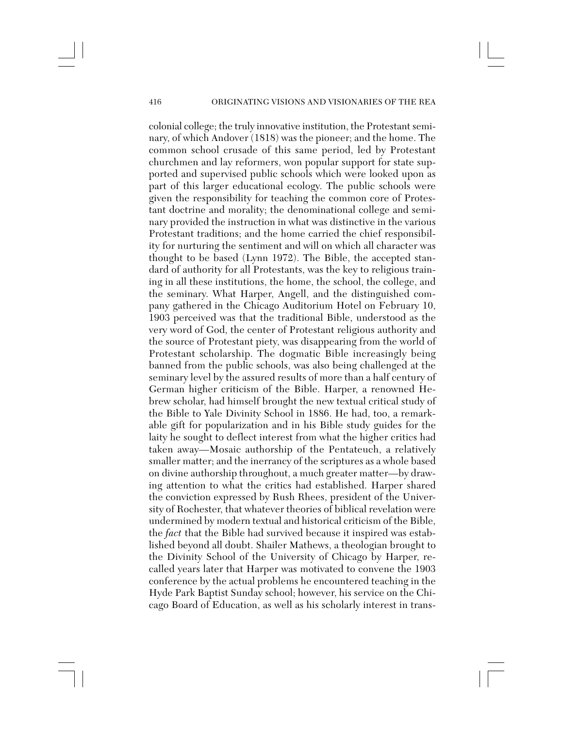colonial college; the truly innovative institution, the Protestant seminary, of which Andover (1818) was the pioneer; and the home. The common school crusade of this same period, led by Protestant churchmen and lay reformers, won popular support for state supported and supervised public schools which were looked upon as part of this larger educational ecology. The public schools were given the responsibility for teaching the common core of Protestant doctrine and morality; the denominational college and seminary provided the instruction in what was distinctive in the various Protestant traditions; and the home carried the chief responsibility for nurturing the sentiment and will on which all character was thought to be based (Lynn 1972). The Bible, the accepted standard of authority for all Protestants, was the key to religious training in all these institutions, the home, the school, the college, and the seminary. What Harper, Angell, and the distinguished company gathered in the Chicago Auditorium Hotel on February 10, 1903 perceived was that the traditional Bible, understood as the very word of God, the center of Protestant religious authority and the source of Protestant piety, was disappearing from the world of Protestant scholarship. The dogmatic Bible increasingly being banned from the public schools, was also being challenged at the seminary level by the assured results of more than a half century of German higher criticism of the Bible. Harper, a renowned Hebrew scholar, had himself brought the new textual critical study of the Bible to Yale Divinity School in 1886. He had, too, a remarkable gift for popularization and in his Bible study guides for the laity he sought to deflect interest from what the higher critics had taken away—Mosaic authorship of the Pentateuch, a relatively smaller matter; and the inerrancy of the scriptures as a whole based on divine authorship throughout, a much greater matter—by drawing attention to what the critics had established. Harper shared the conviction expressed by Rush Rhees, president of the University of Rochester, that whatever theories of biblical revelation were undermined by modern textual and historical criticism of the Bible, the *fact* that the Bible had survived because it inspired was established beyond all doubt. Shailer Mathews, a theologian brought to the Divinity School of the University of Chicago by Harper, recalled years later that Harper was motivated to convene the 1903 conference by the actual problems he encountered teaching in the Hyde Park Baptist Sunday school; however, his service on the Chicago Board of Education, as well as his scholarly interest in trans-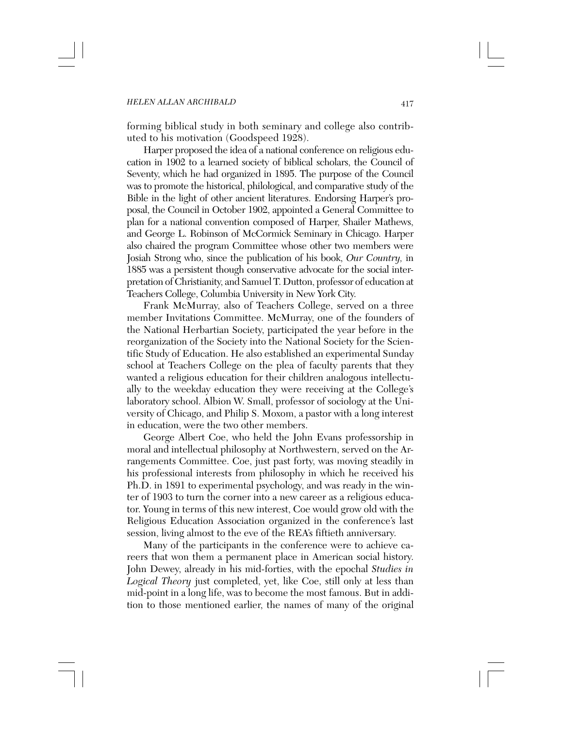forming biblical study in both seminary and college also contributed to his motivation (Goodspeed 1928).

Harper proposed the idea of a national conference on religious education in 1902 to a learned society of biblical scholars, the Council of Seventy, which he had organized in 1895. The purpose of the Council was to promote the historical, philological, and comparative study of the Bible in the light of other ancient literatures. Endorsing Harper's proposal, the Council in October 1902, appointed a General Committee to plan for a national convention composed of Harper, Shailer Mathews, and George L. Robinson of McCormick Seminary in Chicago. Harper also chaired the program Committee whose other two members were Josiah Strong who, since the publication of his book, *Our Country,* in 1885 was a persistent though conservative advocate for the social interpretation of Christianity, and Samuel T. Dutton, professor of education at Teachers College, Columbia University in New York City.

Frank McMurray, also of Teachers College, served on a three member Invitations Committee. McMurray, one of the founders of the National Herbartian Society, participated the year before in the reorganization of the Society into the National Society for the Scientific Study of Education. He also established an experimental Sunday school at Teachers College on the plea of faculty parents that they wanted a religious education for their children analogous intellectually to the weekday education they were receiving at the College's laboratory school. Albion W. Small, professor of sociology at the University of Chicago, and Philip S. Moxom, a pastor with a long interest in education, were the two other members.

George Albert Coe, who held the John Evans professorship in moral and intellectual philosophy at Northwestern, served on the Arrangements Committee. Coe, just past forty, was moving steadily in his professional interests from philosophy in which he received his Ph.D. in 1891 to experimental psychology, and was ready in the winter of 1903 to turn the corner into a new career as a religious educator. Young in terms of this new interest, Coe would grow old with the Religious Education Association organized in the conference's last session, living almost to the eve of the REA's fiftieth anniversary.

Many of the participants in the conference were to achieve careers that won them a permanent place in American social history. John Dewey, already in his mid-forties, with the epochal *Studies in Logical Theory* just completed, yet, like Coe, still only at less than mid-point in a long life, was to become the most famous. But in addition to those mentioned earlier, the names of many of the original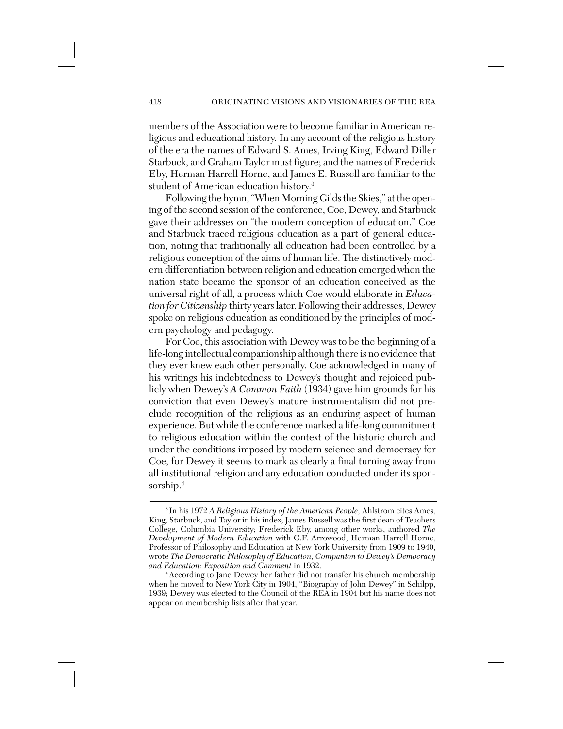members of the Association were to become familiar in American religious and educational history. In any account of the religious history of the era the names of Edward S. Ames, Irving King, Edward Diller Starbuck, and Graham Taylor must figure; and the names of Frederick Eby, Herman Harrell Horne, and James E. Russell are familiar to the student of American education history.3

Following the hymn, "When Morning Gilds the Skies," at the opening of the second session of the conference, Coe, Dewey, and Starbuck gave their addresses on "the modern conception of education." Coe and Starbuck traced religious education as a part of general education, noting that traditionally all education had been controlled by a religious conception of the aims of human life. The distinctively modern differentiation between religion and education emerged when the nation state became the sponsor of an education conceived as the universal right of all, a process which Coe would elaborate in *Education for Citizenship* thirty years later. Following their addresses, Dewey spoke on religious education as conditioned by the principles of modern psychology and pedagogy.

For Coe, this association with Dewey was to be the beginning of a life-long intellectual companionship although there is no evidence that they ever knew each other personally. Coe acknowledged in many of his writings his indebtedness to Dewey's thought and rejoiced publicly when Dewey's *A Common Faith* (1934) gave him grounds for his conviction that even Dewey's mature instrumentalism did not preclude recognition of the religious as an enduring aspect of human experience. But while the conference marked a life-long commitment to religious education within the context of the historic church and under the conditions imposed by modern science and democracy for Coe, for Dewey it seems to mark as clearly a final turning away from all institutional religion and any education conducted under its sponsorship.4

<sup>3</sup> In his 1972 *A Religious History of the American People,* Ahlstrom cites Ames, King, Starbuck, and Taylor in his index; James Russell was the first dean of Teachers College, Columbia University; Frederick Eby, among other works, authored *The Development of Modern Education* with C.F. Arrowood; Herman Harrell Horne, Professor of Philosophy and Education at New York University from 1909 to 1940, wrote *The Democratic Philosophy of Education, Companion to Dewey's Democracy and Education: Exposition and Comment* in 1932.

<sup>4</sup> According to Jane Dewey her father did not transfer his church membership when he moved to New York City in 1904, "Biography of John Dewey" in Schilpp, 1939; Dewey was elected to the Council of the REA in 1904 but his name does not appear on membership lists after that year.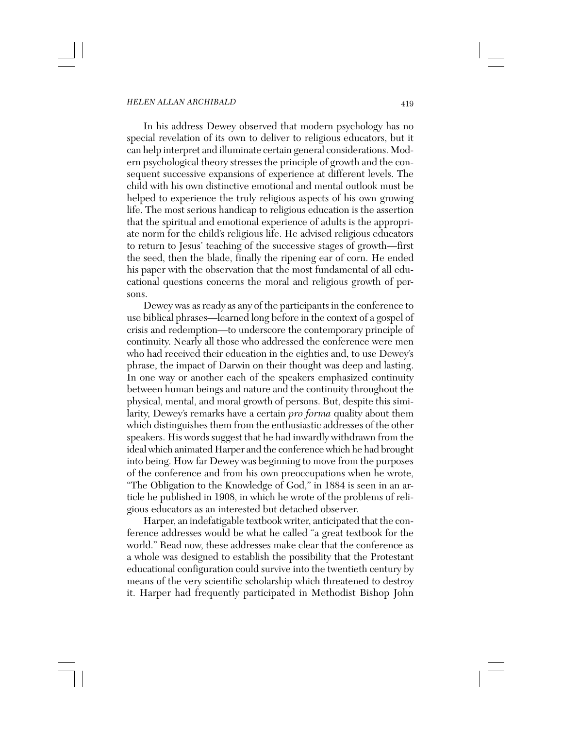In his address Dewey observed that modern psychology has no special revelation of its own to deliver to religious educators, but it can help interpret and illuminate certain general considerations. Modern psychological theory stresses the principle of growth and the consequent successive expansions of experience at different levels. The child with his own distinctive emotional and mental outlook must be helped to experience the truly religious aspects of his own growing life. The most serious handicap to religious education is the assertion that the spiritual and emotional experience of adults is the appropriate norm for the child's religious life. He advised religious educators to return to Jesus' teaching of the successive stages of growth—first the seed, then the blade, finally the ripening ear of corn. He ended his paper with the observation that the most fundamental of all educational questions concerns the moral and religious growth of persons.

Dewey was as ready as any of the participants in the conference to use biblical phrases—learned long before in the context of a gospel of crisis and redemption—to underscore the contemporary principle of continuity. Nearly all those who addressed the conference were men who had received their education in the eighties and, to use Dewey's phrase, the impact of Darwin on their thought was deep and lasting. In one way or another each of the speakers emphasized continuity between human beings and nature and the continuity throughout the physical, mental, and moral growth of persons. But, despite this similarity, Dewey's remarks have a certain *pro forma* quality about them which distinguishes them from the enthusiastic addresses of the other speakers. His words suggest that he had inwardly withdrawn from the ideal which animated Harper and the conference which he had brought into being. How far Dewey was beginning to move from the purposes of the conference and from his own preoccupations when he wrote, "The Obligation to the Knowledge of God," in 1884 is seen in an article he published in 1908, in which he wrote of the problems of religious educators as an interested but detached observer.

Harper, an indefatigable textbook writer, anticipated that the conference addresses would be what he called "a great textbook for the world." Read now, these addresses make clear that the conference as a whole was designed to establish the possibility that the Protestant educational configuration could survive into the twentieth century by means of the very scientific scholarship which threatened to destroy it. Harper had frequently participated in Methodist Bishop John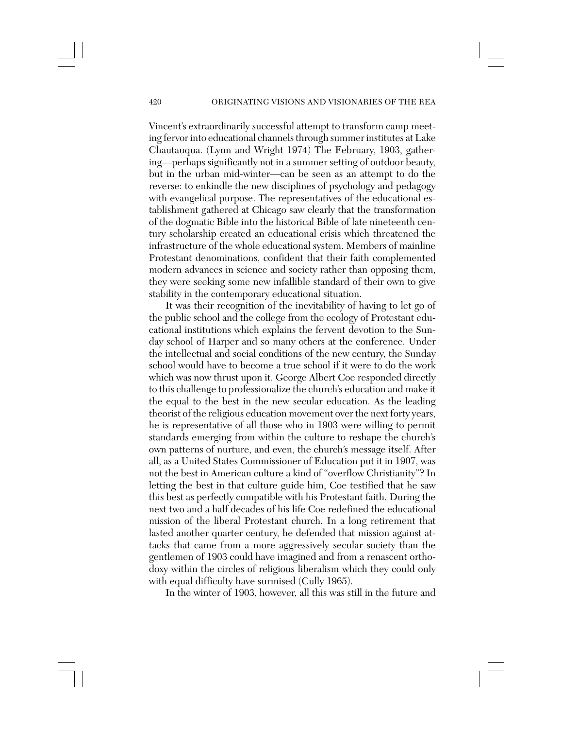Vincent's extraordinarily successful attempt to transform camp meeting fervor into educational channels through summer institutes at Lake Chautauqua. (Lynn and Wright 1974) The February, 1903, gathering—perhaps significantly not in a summer setting of outdoor beauty, but in the urban mid-winter—can be seen as an attempt to do the reverse: to enkindle the new disciplines of psychology and pedagogy with evangelical purpose. The representatives of the educational establishment gathered at Chicago saw clearly that the transformation of the dogmatic Bible into the historical Bible of late nineteenth century scholarship created an educational crisis which threatened the infrastructure of the whole educational system. Members of mainline Protestant denominations, confident that their faith complemented modern advances in science and society rather than opposing them, they were seeking some new infallible standard of their own to give stability in the contemporary educational situation.

It was their recognition of the inevitability of having to let go of the public school and the college from the ecology of Protestant educational institutions which explains the fervent devotion to the Sunday school of Harper and so many others at the conference. Under the intellectual and social conditions of the new century, the Sunday school would have to become a true school if it were to do the work which was now thrust upon it. George Albert Coe responded directly to this challenge to professionalize the church's education and make it the equal to the best in the new secular education. As the leading theorist of the religious education movement over the next forty years, he is representative of all those who in 1903 were willing to permit standards emerging from within the culture to reshape the church's own patterns of nurture, and even, the church's message itself. After all, as a United States Commissioner of Education put it in 1907, was not the best in American culture a kind of "overflow Christianity"? In letting the best in that culture guide him, Coe testified that he saw this best as perfectly compatible with his Protestant faith. During the next two and a half decades of his life Coe redefined the educational mission of the liberal Protestant church. In a long retirement that lasted another quarter century, he defended that mission against attacks that came from a more aggressively secular society than the gentlemen of 1903 could have imagined and from a renascent orthodoxy within the circles of religious liberalism which they could only with equal difficulty have surmised (Cully 1965).

In the winter of 1903, however, all this was still in the future and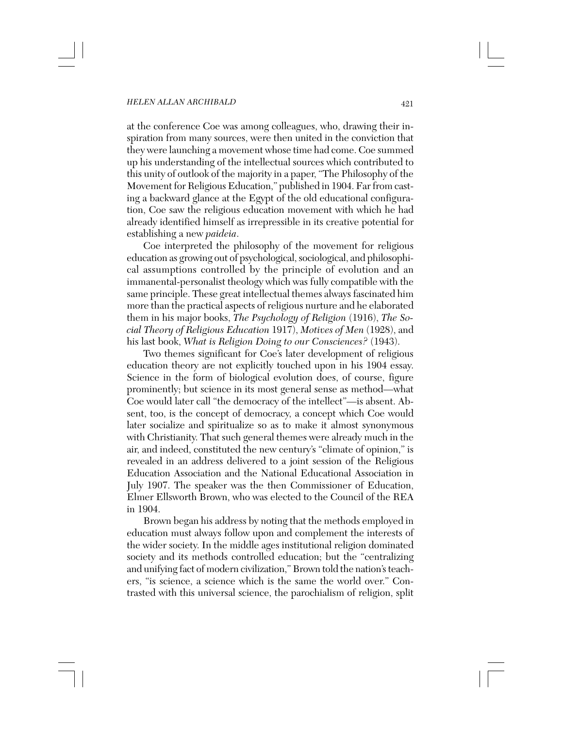at the conference Coe was among colleagues, who, drawing their inspiration from many sources, were then united in the conviction that they were launching a movement whose time had come. Coe summed up his understanding of the intellectual sources which contributed to this unity of outlook of the majority in a paper, "The Philosophy of the Movement for Religious Education," published in 1904. Far from casting a backward glance at the Egypt of the old educational configuration, Coe saw the religious education movement with which he had already identified himself as irrepressible in its creative potential for establishing a new *paideia*.

Coe interpreted the philosophy of the movement for religious education as growing out of psychological, sociological, and philosophical assumptions controlled by the principle of evolution and an immanental-personalist theology which was fully compatible with the same principle. These great intellectual themes always fascinated him more than the practical aspects of religious nurture and he elaborated them in his major books, *The Psychology of Religion* (1916), *The Social Theory of Religious Education* 1917), *Motives of Men* (1928), and his last book, *What is Religion Doing to our Consciences?* (1943).

Two themes significant for Coe's later development of religious education theory are not explicitly touched upon in his 1904 essay. Science in the form of biological evolution does, of course, figure prominently; but science in its most general sense as method—what Coe would later call "the democracy of the intellect"—is absent. Absent, too, is the concept of democracy, a concept which Coe would later socialize and spiritualize so as to make it almost synonymous with Christianity. That such general themes were already much in the air, and indeed, constituted the new century's "climate of opinion," is revealed in an address delivered to a joint session of the Religious Education Association and the National Educational Association in July 1907. The speaker was the then Commissioner of Education, Elmer Ellsworth Brown, who was elected to the Council of the REA in 1904.

Brown began his address by noting that the methods employed in education must always follow upon and complement the interests of the wider society. In the middle ages institutional religion dominated society and its methods controlled education; but the "centralizing and unifying fact of modern civilization," Brown told the nation's teachers, "is science, a science which is the same the world over." Contrasted with this universal science, the parochialism of religion, split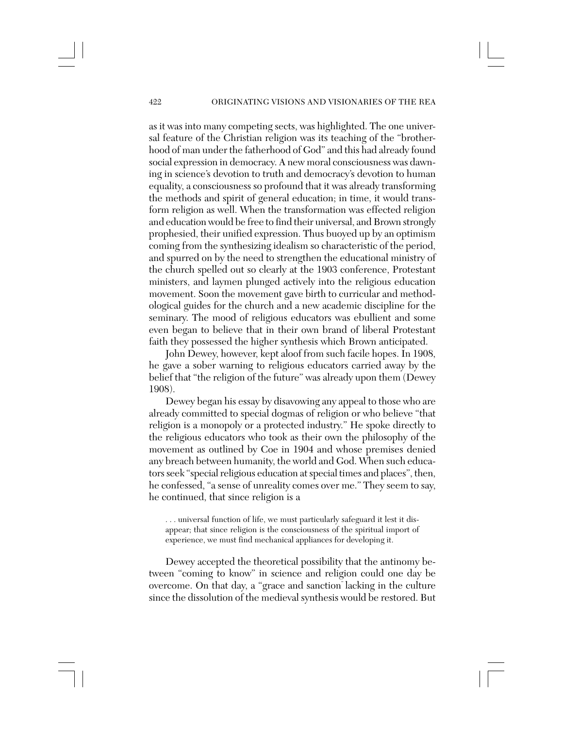as it was into many competing sects, was highlighted. The one universal feature of the Christian religion was its teaching of the "brotherhood of man under the fatherhood of God" and this had already found social expression in democracy. A new moral consciousness was dawning in science's devotion to truth and democracy's devotion to human equality, a consciousness so profound that it was already transforming the methods and spirit of general education; in time, it would transform religion as well. When the transformation was effected religion and education would be free to find their universal, and Brown strongly prophesied, their unified expression. Thus buoyed up by an optimism coming from the synthesizing idealism so characteristic of the period, and spurred on by the need to strengthen the educational ministry of the church spelled out so clearly at the 1903 conference, Protestant ministers, and laymen plunged actively into the religious education movement. Soon the movement gave birth to curricular and methodological guides for the church and a new academic discipline for the seminary. The mood of religious educators was ebullient and some even began to believe that in their own brand of liberal Protestant faith they possessed the higher synthesis which Brown anticipated.

John Dewey, however, kept aloof from such facile hopes. In 1908, he gave a sober warning to religious educators carried away by the belief that "the religion of the future" was already upon them (Dewey 1908).

Dewey began his essay by disavowing any appeal to those who are already committed to special dogmas of religion or who believe "that religion is a monopoly or a protected industry." He spoke directly to the religious educators who took as their own the philosophy of the movement as outlined by Coe in 1904 and whose premises denied any breach between humanity, the world and God. When such educators seek "special religious education at special times and places", then, he confessed, "a sense of unreality comes over me." They seem to say, he continued, that since religion is a

. . . universal function of life, we must particularly safeguard it lest it disappear; that since religion is the consciousness of the spiritual import of experience, we must find mechanical appliances for developing it.

Dewey accepted the theoretical possibility that the antinomy between "coming to know" in science and religion could one day be overcome. On that day, a "grace and sanction" lacking in the culture since the dissolution of the medieval synthesis would be restored. But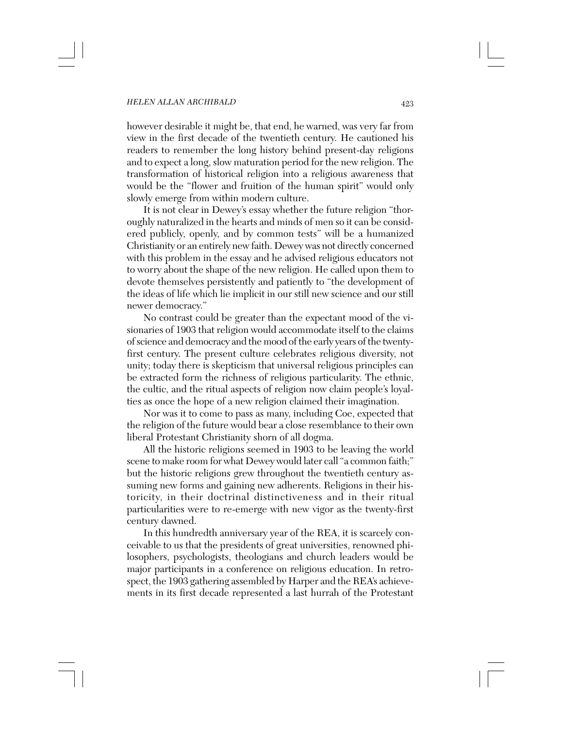however desirable it might be, that end, he warned, was very far from view in the first decade of the twentieth century. He cautioned his readers to remember the long history behind present-day religions and to expect a long, slow maturation period for the new religion. The transformation of historical religion into a religious awareness that would be the "flower and fruition of the human spirit" would only slowly emerge from within modern culture.

It is not clear in Dewey's essay whether the future religion "thoroughly naturalized in the hearts and minds of men so it can be considered publicly, openly, and by common tests" will be a humanized Christianity or an entirely new faith. Dewey was not directly concerned with this problem in the essay and he advised religious educators not to worry about the shape of the new religion. He called upon them to devote themselves persistently and patiently to "the development of the ideas of life which lie implicit in our still new science and our still newer democracy."

No contrast could be greater than the expectant mood of the visionaries of 1903 that religion would accommodate itself to the claims of science and democracy and the mood of the early years of the twentyfirst century. The present culture celebrates religious diversity, not unity; today there is skepticism that universal religious principles can be extracted form the richness of religious particularity. The ethnic, the cultic, and the ritual aspects of religion now claim people's loyalties as once the hope of a new religion claimed their imagination.

Nor was it to come to pass as many, including Coe, expected that the religion of the future would bear a close resemblance to their own liberal Protestant Christianity shorn of all dogma.

All the historic religions seemed in 1903 to be leaving the world scene to make room for what Dewey would later call "a common faith;" but the historic religions grew throughout the twentieth century assuming new forms and gaining new adherents. Religions in their historicity, in their doctrinal distinctiveness and in their ritual particularities were to re-emerge with new vigor as the twenty-first century dawned.

In this hundredth anniversary year of the REA, it is scarcely conceivable to us that the presidents of great universities, renowned philosophers, psychologists, theologians and church leaders would be major participants in a conference on religious education. In retrospect, the 1903 gathering assembled by Harper and the REA's achievements in its first decade represented a last hurrah of the Protestant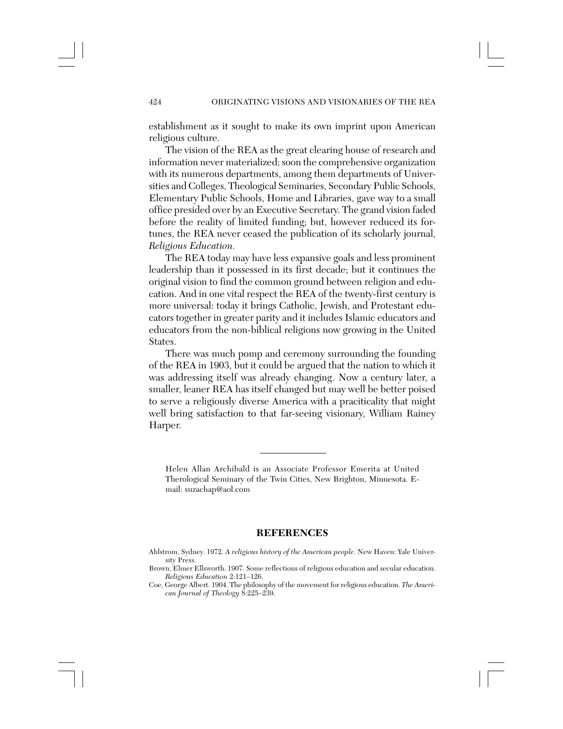establishment as it sought to make its own imprint upon American religious culture.

The vision of the REA as the great clearing house of research and information never materialized; soon the comprehensive organization with its numerous departments, among them departments of Universities and Colleges, Theological Seminaries, Secondary Public Schools, Elementary Public Schools, Home and Libraries, gave way to a small office presided over by an Executive Secretary. The grand vision faded before the reality of limited funding; but, however reduced its fortunes, the REA never ceased the publication of its scholarly journal, *Religious Education.*

The REA today may have less expansive goals and less prominent leadership than it possessed in its first decade; but it continues the original vision to find the common ground between religion and education. And in one vital respect the REA of the twenty-first century is more universal: today it brings Catholic, Jewish, and Protestant educators together in greater parity and it includes Islamic educators and educators from the non-biblical religions now growing in the United States.

There was much pomp and ceremony surrounding the founding of the REA in 1903, but it could be argued that the nation to which it was addressing itself was already changing. Now a century later, a smaller, leaner REA has itself changed but may well be better poised to serve a religiously diverse America with a praciticality that might well bring satisfaction to that far-seeing visionary, William Rainey Harper.

Helen Allan Archibald is an Associate Professor Emerita at United Therological Seminary of the Twin Cities, New Brighton, Minnesota. Email: suzachap@aol.com

# **REFERENCES**

Ahlstrom, Sydney. 1972. *A religious history of the American people.* New Haven: Yale University Press.

Brown, Elmer Ellsworth. 1907. Some reflections of religious education and secular education. *Religious Education* 2:121–126.

Coe, George Albert. 1904. The philosophy of the movement for religious education. *The American Journal of Theology* 8:225–239.